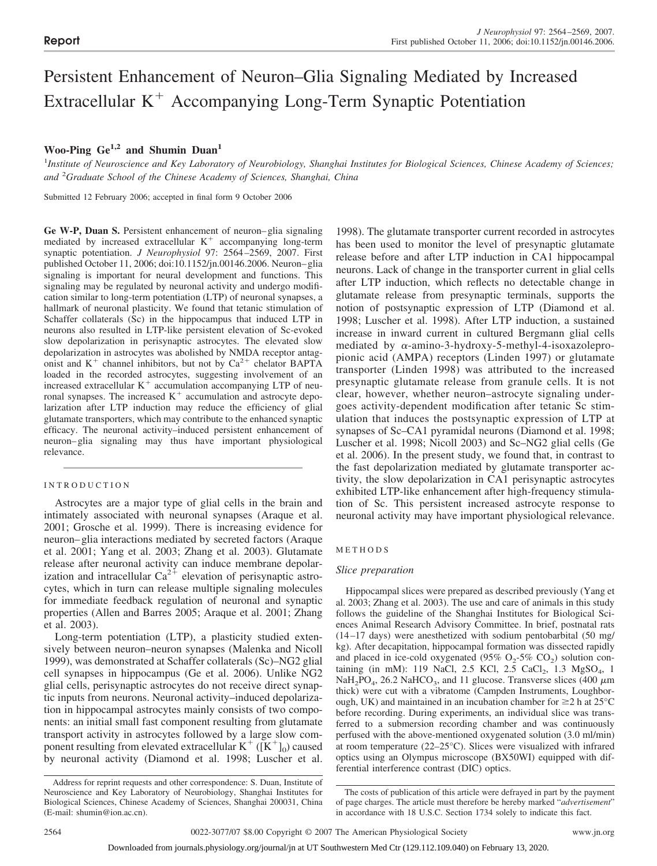# Persistent Enhancement of Neuron–Glia Signaling Mediated by Increased Extracellular  $K<sup>+</sup>$  Accompanying Long-Term Synaptic Potentiation

# **Woo-Ping Ge1,2 and Shumin Duan1**

<sup>1</sup> Institute of Neuroscience and Key Laboratory of Neurobiology, Shanghai Institutes for Biological Sciences, Chinese Academy of Sciences; *and* <sup>2</sup> *Graduate School of the Chinese Academy of Sciences, Shanghai, China*

Submitted 12 February 2006; accepted in final form 9 October 2006

**Ge W-P, Duan S.** Persistent enhancement of neuron–glia signaling mediated by increased extracellular  $K<sup>+</sup>$  accompanying long-term synaptic potentiation. *J Neurophysiol* 97: 2564–2569, 2007. First published October 11, 2006; doi:10.1152/jn.00146.2006. Neuron–glia signaling is important for neural development and functions. This signaling may be regulated by neuronal activity and undergo modification similar to long-term potentiation (LTP) of neuronal synapses, a hallmark of neuronal plasticity. We found that tetanic stimulation of Schaffer collaterals (Sc) in the hippocampus that induced LTP in neurons also resulted in LTP-like persistent elevation of Sc-evoked slow depolarization in perisynaptic astrocytes. The elevated slow depolarization in astrocytes was abolished by NMDA receptor antagonist and  $K^+$  channel inhibitors, but not by  $Ca^{2+}$  chelator BAPTA loaded in the recorded astrocytes, suggesting involvement of an increased extracellular  $K<sup>+</sup>$  accumulation accompanying LTP of neuronal synapses. The increased  $K<sup>+</sup>$  accumulation and astrocyte depolarization after LTP induction may reduce the efficiency of glial glutamate transporters, which may contribute to the enhanced synaptic efficacy. The neuronal activity–induced persistent enhancement of neuron–glia signaling may thus have important physiological relevance.

# INTRODUCTION

Astrocytes are a major type of glial cells in the brain and intimately associated with neuronal synapses (Araque et al. 2001; Grosche et al. 1999). There is increasing evidence for neuron–glia interactions mediated by secreted factors (Araque et al. 2001; Yang et al. 2003; Zhang et al. 2003). Glutamate release after neuronal activity can induce membrane depolarization and intracellular  $Ca^{2+}$  elevation of perisynaptic astrocytes, which in turn can release multiple signaling molecules for immediate feedback regulation of neuronal and synaptic properties (Allen and Barres 2005; Araque et al. 2001; Zhang et al. 2003).

Long-term potentiation (LTP), a plasticity studied extensively between neuron–neuron synapses (Malenka and Nicoll 1999), was demonstrated at Schaffer collaterals (Sc)–NG2 glial cell synapses in hippocampus (Ge et al. 2006). Unlike NG2 glial cells, perisynaptic astrocytes do not receive direct synaptic inputs from neurons. Neuronal activity–induced depolarization in hippocampal astrocytes mainly consists of two components: an initial small fast component resulting from glutamate transport activity in astrocytes followed by a large slow component resulting from elevated extracellular  $K^+$  ( $[K^+]_0$ ) caused by neuronal activity (Diamond et al. 1998; Luscher et al.

1998). The glutamate transporter current recorded in astrocytes has been used to monitor the level of presynaptic glutamate release before and after LTP induction in CA1 hippocampal neurons. Lack of change in the transporter current in glial cells after LTP induction, which reflects no detectable change in glutamate release from presynaptic terminals, supports the notion of postsynaptic expression of LTP (Diamond et al. 1998; Luscher et al. 1998). After LTP induction, a sustained increase in inward current in cultured Bergmann glial cells mediated by  $\alpha$ -amino-3-hydroxy-5-methyl-4-isoxazolepropionic acid (AMPA) receptors (Linden 1997) or glutamate transporter (Linden 1998) was attributed to the increased presynaptic glutamate release from granule cells. It is not clear, however, whether neuron–astrocyte signaling undergoes activity-dependent modification after tetanic Sc stimulation that induces the postsynaptic expression of LTP at synapses of Sc–CA1 pyramidal neurons (Diamond et al. 1998; Luscher et al. 1998; Nicoll 2003) and Sc–NG2 glial cells (Ge et al. 2006). In the present study, we found that, in contrast to the fast depolarization mediated by glutamate transporter activity, the slow depolarization in CA1 perisynaptic astrocytes exhibited LTP-like enhancement after high-frequency stimulation of Sc. This persistent increased astrocyte response to neuronal activity may have important physiological relevance.

# METHODS

# *Slice preparation*

Hippocampal slices were prepared as described previously (Yang et al. 2003; Zhang et al. 2003). The use and care of animals in this study follows the guideline of the Shanghai Institutes for Biological Sciences Animal Research Advisory Committee. In brief, postnatal rats (14–17 days) were anesthetized with sodium pentobarbital (50 mg/ kg). After decapitation, hippocampal formation was dissected rapidly and placed in ice-cold oxygenated (95%  $O_2$ -5%  $CO_2$ ) solution containing (in mM): 119 NaCl, 2.5 KCl, 2.5 CaCl<sub>2</sub>, 1.3 MgSO<sub>4</sub>, 1  $NaH<sub>2</sub>PO<sub>4</sub>$ , 26.2 NaHCO<sub>3</sub>, and 11 glucose. Transverse slices (400  $\mu$ m thick) were cut with a vibratome (Campden Instruments, Loughborough, UK) and maintained in an incubation chamber for  $\geq$  h at 25 $\degree$ C before recording. During experiments, an individual slice was transferred to a submersion recording chamber and was continuously perfused with the above-mentioned oxygenated solution (3.0 ml/min) at room temperature (22–25°C). Slices were visualized with infrared optics using an Olympus microscope (BX50WI) equipped with differential interference contrast (DIC) optics.

Address for reprint requests and other correspondence: S. Duan, Institute of Neuroscience and Key Laboratory of Neurobiology, Shanghai Institutes for Biological Sciences, Chinese Academy of Sciences, Shanghai 200031, China (E-mail: shumin@ion.ac.cn).

The costs of publication of this article were defrayed in part by the payment of page charges. The article must therefore be hereby marked "*advertisement*" in accordance with 18 U.S.C. Section 1734 solely to indicate this fact.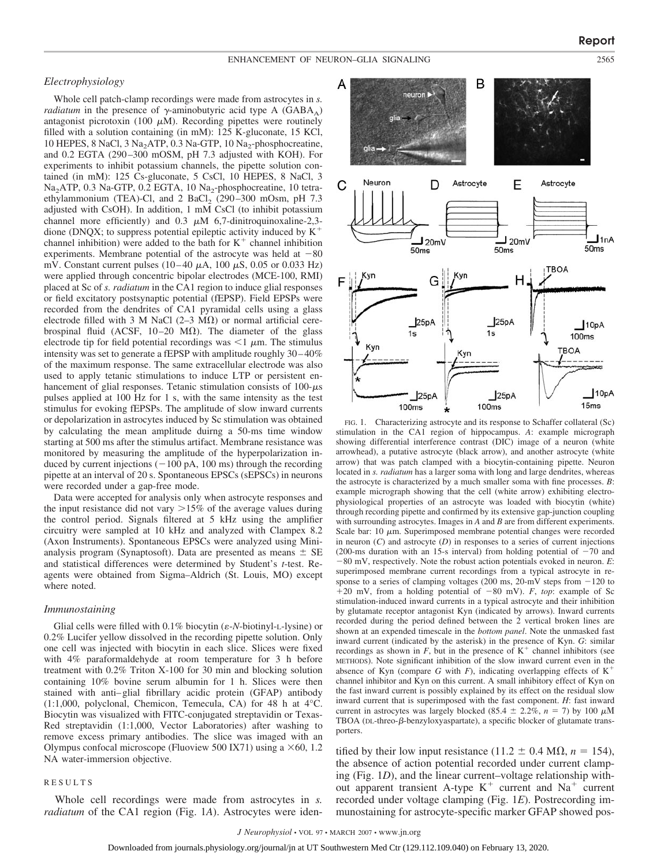### *Electrophysiology*

Whole cell patch-clamp recordings were made from astrocytes in *s. radiatum* in the presence of  $\gamma$ -aminobutyric acid type A (GABA<sub>A</sub>) antagonist picrotoxin (100  $\mu$ M). Recording pipettes were routinely filled with a solution containing (in mM): 125 K-gluconate, 15 KCl, 10 HEPES, 8 NaCl, 3 Na<sub>2</sub>ATP, 0.3 Na-GTP, 10 Na<sub>2</sub>-phosphocreatine, and 0.2 EGTA (290–300 mOSM, pH 7.3 adjusted with KOH). For experiments to inhibit potassium channels, the pipette solution contained (in mM): 125 Cs-gluconate, 5 CsCl, 10 HEPES, 8 NaCl, 3 Na<sub>2</sub>ATP, 0.3 Na-GTP, 0.2 EGTA, 10 Na<sub>2</sub>-phosphocreatine, 10 tetraethylammonium (TEA)-Cl, and  $2$  BaCl<sub>2</sub> (290–300 mOsm, pH  $7.3$ adjusted with CsOH). In addition, 1 mM CsCl (to inhibit potassium channel more efficiently) and 0.3  $\mu$ M 6,7-dinitroquinoxaline-2,3dione (DNQX; to suppress potential epileptic activity induced by  $K^+$ channel inhibition) were added to the bath for  $K^+$  channel inhibition experiments. Membrane potential of the astrocyte was held at  $-80$ mV. Constant current pulses  $(10-40 \mu A, 100 \mu S, 0.05 \text{ or } 0.033 \text{ Hz})$ were applied through concentric bipolar electrodes (MCE-100, RMI) placed at Sc of *s. radiatum* in the CA1 region to induce glial responses or field excitatory postsynaptic potential (fEPSP). Field EPSPs were recorded from the dendrites of CA1 pyramidal cells using a glass electrode filled with 3 M NaCl (2–3 M $\Omega$ ) or normal artificial cerebrospinal fluid (ACSF,  $10-20$  M $\Omega$ ). The diameter of the glass electrode tip for field potential recordings was  $\leq 1$   $\mu$ m. The stimulus intensity was set to generate a fEPSP with amplitude roughly 30–40% of the maximum response. The same extracellular electrode was also used to apply tetanic stimulations to induce LTP or persistent enhancement of glial responses. Tetanic stimulation consists of  $100 - \mu s$ pulses applied at 100 Hz for 1 s, with the same intensity as the test stimulus for evoking fEPSPs. The amplitude of slow inward currents or depolarization in astrocytes induced by Sc stimulation was obtained by calculating the mean amplitude duirng a 50-ms time window starting at 500 ms after the stimulus artifact. Membrane resistance was monitored by measuring the amplitude of the hyperpolarization induced by current injections  $(-100 \text{ pA}, 100 \text{ ms})$  through the recording pipette at an interval of 20 s. Spontaneous EPSCs (sEPSCs) in neurons were recorded under a gap-free mode.

Data were accepted for analysis only when astrocyte responses and the input resistance did not vary  $>15\%$  of the average values during the control period. Signals filtered at 5 kHz using the amplifier circuitry were sampled at 10 kHz and analyzed with Clampex 8.2 (Axon Instruments). Spontaneous EPSCs were analyzed using Minianalysis program (Synaptosoft). Data are presented as means  $\pm$  SE and statistical differences were determined by Student's *t*-test. Reagents were obtained from Sigma–Aldrich (St. Louis, MO) except where noted.

### *Immunostaining*

Glial cells were filled with  $0.1\%$  biocytin ( $\varepsilon$ -*N*-biotinyl-L-lysine) or 0.2% Lucifer yellow dissolved in the recording pipette solution. Only one cell was injected with biocytin in each slice. Slices were fixed with 4% paraformaldehyde at room temperature for 3 h before treatment with 0.2% Triton X-100 for 30 min and blocking solution containing 10% bovine serum albumin for 1 h. Slices were then stained with anti–glial fibrillary acidic protein (GFAP) antibody (1:1,000, polyclonal, Chemicon, Temecula, CA) for 48 h at 4°C. Biocytin was visualized with FITC-conjugated streptavidin or Texas-Red streptavidin (1:1,000, Vector Laboratories) after washing to remove excess primary antibodies. The slice was imaged with an Olympus confocal microscope (Fluoview 500 IX71) using a  $\times$  60, 1.2 NA water-immersion objective.

# RESULTS

Whole cell recordings were made from astrocytes in *s. radiatum* of the CA1 region (Fig. 1*A*). Astrocytes were iden-



FIG. 1. Characterizing astrocyte and its response to Schaffer collateral (Sc) stimulation in the CA1 region of hippocampus. *A*: example micrograph showing differential interference contrast (DIC) image of a neuron (white arrowhead), a putative astrocyte (black arrow), and another astrocyte (white arrow) that was patch clamped with a biocytin-containing pipette. Neuron located in *s. radiatum* has a larger soma with long and large dendrites, whereas the astrocyte is characterized by a much smaller soma with fine processes. *B*: example micrograph showing that the cell (white arrow) exhibiting electrophysiological properties of an astrocyte was loaded with biocytin (white) through recording pipette and confirmed by its extensive gap-junction coupling with surrounding astrocytes. Images in *A* and *B* are from different experiments. Scale bar:  $10 \mu m$ . Superimposed membrane potential changes were recorded in neuron  $(C)$  and astrocyte  $(D)$  in responses to a series of current injections (200-ms duration with an 15-s interval) from holding potential of  $-70$  and -80 mV, respectively. Note the robust action potentials evoked in neuron. *E*: superimposed membrane current recordings from a typical astrocyte in response to a series of clamping voltages  $(200 \text{ ms}, 20 \text{ mV})$  steps from  $-120$  to  $+20$  mV, from a holding potential of  $-80$  mV). *F*, *top*: example of Sc stimulation-induced inward currents in a typical astrocyte and their inhibition by glutamate receptor antagonist Kyn (indicated by arrows). Inward currents recorded during the period defined between the 2 vertical broken lines are shown at an expended timescale in the *bottom panel*. Note the unmasked fast inward current (indicated by the asterisk) in the presence of Kyn. *G*: similar recordings as shown in  $F$ , but in the presence of  $K^+$  channel inhibitors (see METHODS). Note significant inhibition of the slow inward current even in the absence of Kyn (compare *G* with *F*), indicating overlapping effects of  $K^+$ channel inhibitor and Kyn on this current. A small inhibitory effect of Kyn on the fast inward current is possibly explained by its effect on the residual slow inward current that is superimposed with the fast component. *H*: fast inward current in astrocytes was largely blocked (85.4  $\pm$  2.2%, *n* = 7) by 100  $\mu$ M TBOA (DL-threo- $\beta$ -benzyloxyaspartate), a specific blocker of glutamate transporters.

tified by their low input resistance (11.2  $\pm$  0.4 M $\Omega$ , *n* = 154), the absence of action potential recorded under current clamping (Fig. 1*D*), and the linear current–voltage relationship without apparent transient A-type  $K^+$  current and  $Na^+$  current recorded under voltage clamping (Fig. 1*E*). Postrecording immunostaining for astrocyte-specific marker GFAP showed pos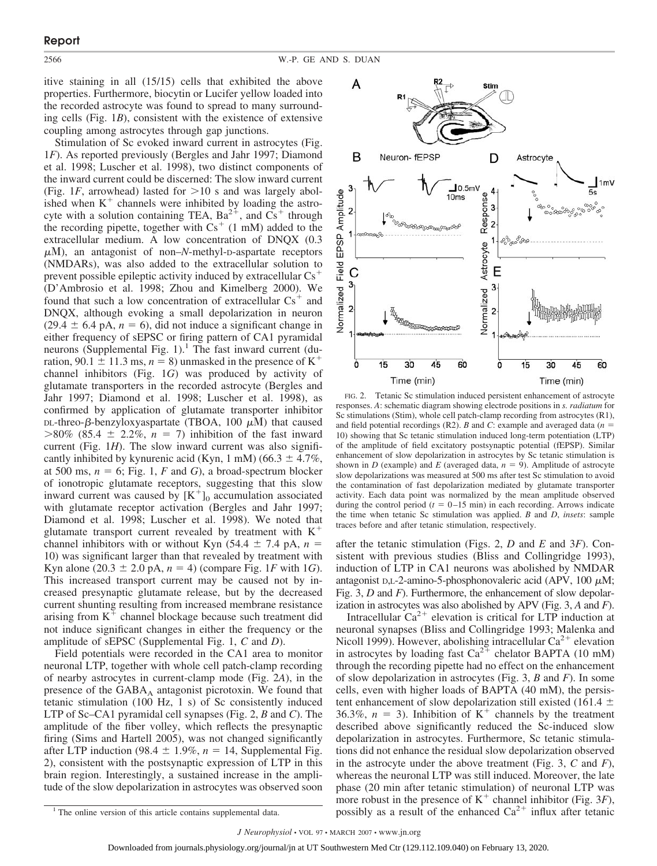itive staining in all (15/15) cells that exhibited the above properties. Furthermore, biocytin or Lucifer yellow loaded into the recorded astrocyte was found to spread to many surrounding cells (Fig. 1*B*), consistent with the existence of extensive coupling among astrocytes through gap junctions.

Stimulation of Sc evoked inward current in astrocytes (Fig. 1*F*). As reported previously (Bergles and Jahr 1997; Diamond et al. 1998; Luscher et al. 1998), two distinct components of the inward current could be discerned: The slow inward current (Fig. 1*F*, arrowhead) lasted for  $> 10$  s and was largely abolished when  $K<sup>+</sup>$  channels were inhibited by loading the astrocyte with a solution containing TEA,  $Ba^{2+}$ , and  $Cs^{+}$  through the recording pipette, together with  $Cs<sup>+</sup>$  (1 mM) added to the extracellular medium. A low concentration of DNQX (0.3  $\mu$ M), an antagonist of non–*N*-methyl-D-aspartate receptors (NMDARs), was also added to the extracellular solution to prevent possible epileptic activity induced by extracellular  $Cs<sup>+</sup>$ (D'Ambrosio et al. 1998; Zhou and Kimelberg 2000). We found that such a low concentration of extracellular  $Cs<sup>+</sup>$  and DNQX, although evoking a small depolarization in neuron  $(29.4 \pm 6.4 \text{ pA}, n = 6)$ , did not induce a significant change in either frequency of sEPSC or firing pattern of CA1 pyramidal neurons (Supplemental Fig. 1).<sup>1</sup> The fast inward current (duration, 90.1  $\pm$  11.3 ms,  $n = 8$ ) unmasked in the presence of K<sup>+</sup> channel inhibitors (Fig. 1*G*) was produced by activity of glutamate transporters in the recorded astrocyte (Bergles and Jahr 1997; Diamond et al. 1998; Luscher et al. 1998), as confirmed by application of glutamate transporter inhibitor  $DL$ -threo- $\beta$ -benzyloxyaspartate (TBOA, 100  $\mu$ M) that caused  $>80\%$  (85.4  $\pm$  2.2%, *n* = 7) inhibition of the fast inward current (Fig. 1*H*). The slow inward current was also significantly inhibited by kynurenic acid (Kyn, 1 mM) (66.3  $\pm$  4.7%, at 500 ms,  $n = 6$ ; Fig. 1, *F* and *G*), a broad-spectrum blocker of ionotropic glutamate receptors, suggesting that this slow inward current was caused by  $[K^+]_0$  accumulation associated with glutamate receptor activation (Bergles and Jahr 1997; Diamond et al. 1998; Luscher et al. 1998). We noted that glutamate transport current revealed by treatment with  $K^+$ channel inhibitors with or without Kyn  $(54.4 \pm 7.4 \text{ pA}, n =$ 10) was significant larger than that revealed by treatment with Kyn alone (20.3  $\pm$  2.0 pA,  $n = 4$ ) (compare Fig. 1*F* with 1*G*). This increased transport current may be caused not by increased presynaptic glutamate release, but by the decreased current shunting resulting from increased membrane resistance arising from  $K^+$  channel blockage because such treatment did not induce significant changes in either the frequency or the amplitude of sEPSC (Supplemental Fig. 1, *C* and *D*).

Field potentials were recorded in the CA1 area to monitor neuronal LTP, together with whole cell patch-clamp recording of nearby astrocytes in current-clamp mode (Fig. 2*A*), in the presence of the  $GABA_A$  antagonist picrotoxin. We found that tetanic stimulation (100 Hz, 1 s) of Sc consistently induced LTP of Sc–CA1 pyramidal cell synapses (Fig. 2, *B* and *C*). The amplitude of the fiber volley, which reflects the presynaptic firing (Sims and Hartell 2005), was not changed significantly after LTP induction (98.4  $\pm$  1.9%, *n* = 14, Supplemental Fig. 2), consistent with the postsynaptic expression of LTP in this brain region. Interestingly, a sustained increase in the amplitude of the slow depolarization in astrocytes was observed soon



FIG. 2. Tetanic Sc stimulation induced persistent enhancement of astrocyte responses. *A*: schematic diagram showing electrode positions in *s. radiatum* for Sc stimulations (Stim), whole cell patch-clamp recording from astrocytes (R1), and field potential recordings (R2). *B* and *C*: example and averaged data (*n* 10) showing that Sc tetanic stimulation induced long-term potentiation (LTP) of the amplitude of field excitatory postsynaptic potential (fEPSP). Similar enhancement of slow depolarization in astrocytes by Sc tetanic stimulation is shown in *D* (example) and *E* (averaged data,  $n = 9$ ). Amplitude of astrocyte slow depolarizations was measured at 500 ms after test Sc stimulation to avoid the contamination of fast depolarization mediated by glutamate transporter activity. Each data point was normalized by the mean amplitude observed during the control period ( $t = 0-15$  min) in each recording. Arrows indicate the time when tetanic Sc stimulation was applied. *B* and *D*, *insets*: sample traces before and after tetanic stimulation, respectively.

after the tetanic stimulation (Figs. 2, *D* and *E* and 3*F*). Consistent with previous studies (Bliss and Collingridge 1993), induction of LTP in CA1 neurons was abolished by NMDAR antagonist D,L-2-amino-5-phosphonovaleric acid (APV,  $100 \mu M$ ; Fig. 3, *D* and *F*). Furthermore, the enhancement of slow depolarization in astrocytes was also abolished by APV (Fig. 3, *A* and *F*).

Intracellular  $Ca^{2+}$  elevation is critical for LTP induction at neuronal synapses (Bliss and Collingridge 1993; Malenka and Nicoll 1999). However, abolishing intracellular  $Ca^{2+}$  elevation in astrocytes by loading fast  $Ca^{2+}$  chelator BAPTA (10 mM) through the recording pipette had no effect on the enhancement of slow depolarization in astrocytes (Fig. 3, *B* and *F*). In some cells, even with higher loads of BAPTA (40 mM), the persistent enhancement of slow depolarization still existed (161.4  $\pm$ 36.3%,  $n = 3$ ). Inhibition of K<sup>+</sup> channels by the treatment described above significantly reduced the Sc-induced slow depolarization in astrocytes. Furthermore, Sc tetanic stimulations did not enhance the residual slow depolarization observed in the astrocyte under the above treatment (Fig. 3, *C* and *F*), whereas the neuronal LTP was still induced. Moreover, the late phase (20 min after tetanic stimulation) of neuronal LTP was more robust in the presence of  $K^+$  channel inhibitor (Fig. 3*F*), <sup>1</sup> The online version of this article contains supplemental data. possibly as a result of the enhanced  $Ca<sup>2+</sup>$  influx after tetanic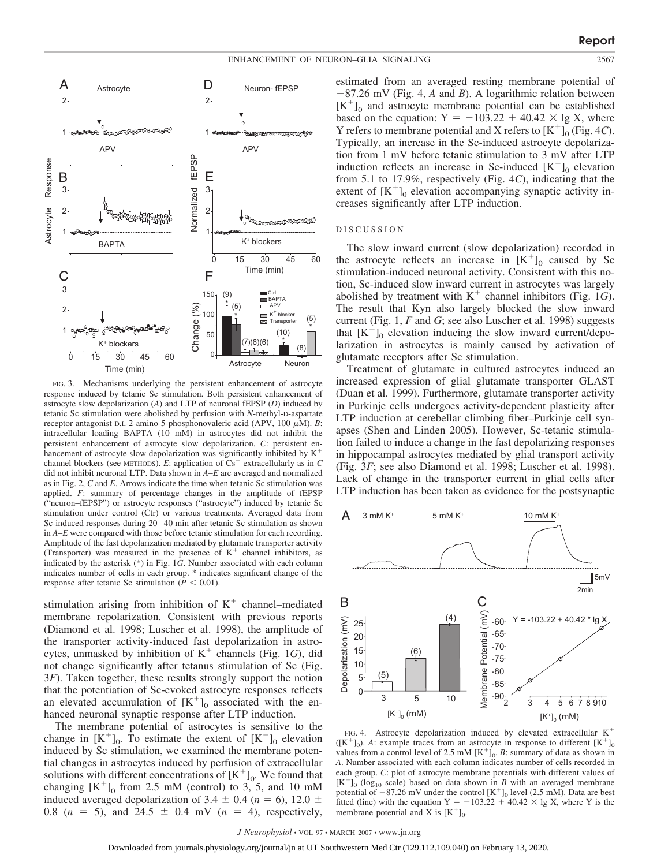



FIG. 3. Mechanisms underlying the persistent enhancement of astrocyte response induced by tetanic Sc stimulation. Both persistent enhancement of astrocyte slow depolarization (*A*) and LTP of neuronal fEPSP (*D*) induced by tetanic Sc stimulation were abolished by perfusion with *N*-methyl-D-aspartate receptor antagonist D,L-2-amino-5-phosphonovaleric acid (APV, 100  $\mu$ M). *B*: intracellular loading BAPTA (10 mM) in astrocytes did not inhibit the persistent enhancement of astrocyte slow depolarization. *C*: persistent enhancement of astrocyte slow depolarization was significantly inhibited by  $K^+$ channel blockers (see METHODS). *E*: application of  $Cs^+$  extracellularly as in *C* did not inhibit neuronal LTP. Data shown in *A*–*E* are averaged and normalized as in Fig. 2, *C* and *E*. Arrows indicate the time when tetanic Sc stimulation was applied. *F*: summary of percentage changes in the amplitude of fEPSP ("neuron–fEPSP") or astrocyte responses ("astrocyte") induced by tetanic Sc stimulation under control (Ctr) or various treatments. Averaged data from Sc-induced responses during 20–40 min after tetanic Sc stimulation as shown in *A*–*E* were compared with those before tetanic stimulation for each recording. Amplitude of the fast depolarization mediated by glutamate transporter activity (Transporter) was measured in the presence of  $K^+$  channel inhibitors, as indicated by the asterisk (\*) in Fig. 1*G*. Number associated with each column indicates number of cells in each group. \* indicates significant change of the response after tetanic Sc stimulation ( $P < 0.01$ ).

stimulation arising from inhibition of  $K^+$  channel–mediated membrane repolarization. Consistent with previous reports (Diamond et al. 1998; Luscher et al. 1998), the amplitude of the transporter activity-induced fast depolarization in astrocytes, unmasked by inhibition of  $K^+$  channels (Fig. 1*G*), did not change significantly after tetanus stimulation of Sc (Fig. 3*F*). Taken together, these results strongly support the notion that the potentiation of Sc-evoked astrocyte responses reflects an elevated accumulation of  $[K^+]_0$  associated with the enhanced neuronal synaptic response after LTP induction.

The membrane potential of astrocytes is sensitive to the change in  $[K^+]_0$ . To estimate the extent of  $[K^+]_0$  elevation induced by Sc stimulation, we examined the membrane potential changes in astrocytes induced by perfusion of extracellular solutions with different concentrations of  $[K^+]_0$ . We found that changing  $[K^+]_0$  from 2.5 mM (control) to 3, 5, and 10 mM induced averaged depolarization of 3.4  $\pm$  0.4 (*n* = 6), 12.0  $\pm$ 0.8 ( $n = 5$ ), and 24.5  $\pm$  0.4 mV ( $n = 4$ ), respectively, estimated from an averaged resting membrane potential of -87.26 mV (Fig. 4, *A* and *B*). A logarithmic relation between  $[K^+]$ <sub>0</sub> and astrocyte membrane potential can be established based on the equation:  $Y = -103.22 + 40.42 \times \lg X$ , where Y refers to membrane potential and X refers to  $[K^+]_0$  (Fig. 4*C*). Typically, an increase in the Sc-induced astrocyte depolarization from 1 mV before tetanic stimulation to 3 mV after LTP induction reflects an increase in Sc-induced  $[K^+]_0$  elevation from 5.1 to 17.9%, respectively (Fig. 4*C*), indicating that the extent of  $[K^+]_0$  elevation accompanying synaptic activity increases significantly after LTP induction.

### DISCUSSION

The slow inward current (slow depolarization) recorded in the astrocyte reflects an increase in  $[K^+]_0$  caused by Sc stimulation-induced neuronal activity. Consistent with this notion, Sc-induced slow inward current in astrocytes was largely abolished by treatment with  $K^+$  channel inhibitors (Fig. 1*G*). The result that Kyn also largely blocked the slow inward current (Fig. 1, *F* and *G*; see also Luscher et al. 1998) suggests that  $[K^+]_0$  elevation inducing the slow inward current/depolarization in astrocytes is mainly caused by activation of glutamate receptors after Sc stimulation.

Treatment of glutamate in cultured astrocytes induced an increased expression of glial glutamate transporter GLAST (Duan et al. 1999). Furthermore, glutamate transporter activity in Purkinje cells undergoes activity-dependent plasticity after LTP induction at cerebellar climbing fiber–Purkinje cell synapses (Shen and Linden 2005). However, Sc-tetanic stimulation failed to induce a change in the fast depolarizing responses in hippocampal astrocytes mediated by glial transport activity (Fig. 3*F*; see also Diamond et al. 1998; Luscher et al. 1998). Lack of change in the transporter current in glial cells after LTP induction has been taken as evidence for the postsynaptic



FIG. 4. Astrocyte depolarization induced by elevated extracellular K  $([K^+]_0)$ . *A*: example traces from an astrocyte in response to different  $[K^+]_0$ values from a control level of 2.5 mM  $[K^+]_0$ . *B*: summary of data as shown in *A*. Number associated with each column indicates number of cells recorded in each group. *C*: plot of astrocyte membrane potentials with different values of  $[K^+]$ <sub>0</sub> (log<sub>10</sub> scale) based on data shown in *B* with an averaged membrane potential of  $-87.26$  mV under the control  $[K^+]_0$  level (2.5 mM). Data are best fitted (line) with the equation  $Y = -103.22 + 40.42 \times \lg X$ , where Y is the membrane potential and X is  $[K^+]_0$ .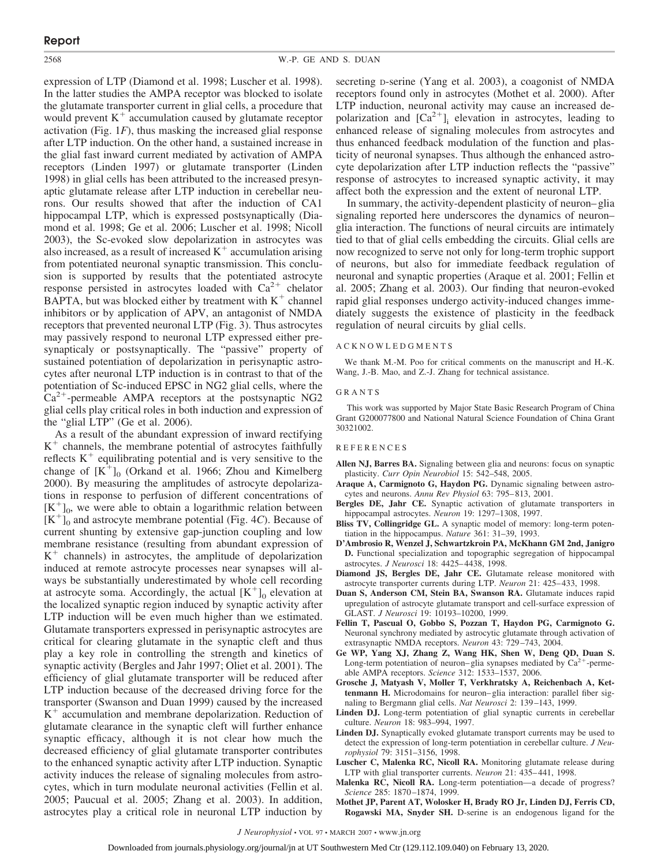expression of LTP (Diamond et al. 1998; Luscher et al. 1998). In the latter studies the AMPA receptor was blocked to isolate the glutamate transporter current in glial cells, a procedure that would prevent  $K^+$  accumulation caused by glutamate receptor activation (Fig. 1*F*), thus masking the increased glial response after LTP induction. On the other hand, a sustained increase in the glial fast inward current mediated by activation of AMPA receptors (Linden 1997) or glutamate transporter (Linden 1998) in glial cells has been attributed to the increased presynaptic glutamate release after LTP induction in cerebellar neurons. Our results showed that after the induction of CA1 hippocampal LTP, which is expressed postsynaptically (Diamond et al. 1998; Ge et al. 2006; Luscher et al. 1998; Nicoll 2003), the Sc-evoked slow depolarization in astrocytes was also increased, as a result of increased  $K<sup>+</sup>$  accumulation arising from potentiated neuronal synaptic transmission. This conclusion is supported by results that the potentiated astrocyte response persisted in astrocytes loaded with  $Ca^{2+}$  chelator BAPTA, but was blocked either by treatment with  $K^+$  channel inhibitors or by application of APV, an antagonist of NMDA receptors that prevented neuronal LTP (Fig. 3). Thus astrocytes may passively respond to neuronal LTP expressed either presynapticaly or postsynaptically. The "passive" property of sustained potentiation of depolarization in perisynaptic astrocytes after neuronal LTP induction is in contrast to that of the potentiation of Sc-induced EPSC in NG2 glial cells, where the  $Ca<sup>2+</sup>$ -permeable AMPA receptors at the postsynaptic NG2 glial cells play critical roles in both induction and expression of the "glial LTP" (Ge et al. 2006).

As a result of the abundant expression of inward rectifying  $K<sup>+</sup>$  channels, the membrane potential of astrocytes faithfully reflects  $K^+$  equilibrating potential and is very sensitive to the change of  $[K^+]_0$  (Orkand et al. 1966; Zhou and Kimelberg 2000). By measuring the amplitudes of astrocyte depolarizations in response to perfusion of different concentrations of  $[K^+]_0$ , we were able to obtain a logarithmic relation between  $[K^+]$ <sub>0</sub> and astrocyte membrane potential (Fig. 4*C*). Because of current shunting by extensive gap-junction coupling and low membrane resistance (resulting from abundant expression of  $K<sup>+</sup>$  channels) in astrocytes, the amplitude of depolarization induced at remote astrocyte processes near synapses will always be substantially underestimated by whole cell recording at astrocyte soma. Accordingly, the actual  $[K^+]_0$  elevation at the localized synaptic region induced by synaptic activity after LTP induction will be even much higher than we estimated. Glutamate transporters expressed in perisynaptic astrocytes are critical for clearing glutamate in the synaptic cleft and thus play a key role in controlling the strength and kinetics of synaptic activity (Bergles and Jahr 1997; Oliet et al. 2001). The efficiency of glial glutamate transporter will be reduced after LTP induction because of the decreased driving force for the transporter (Swanson and Duan 1999) caused by the increased  $K<sup>+</sup>$  accumulation and membrane depolarization. Reduction of glutamate clearance in the synaptic cleft will further enhance synaptic efficacy, although it is not clear how much the decreased efficiency of glial glutamate transporter contributes to the enhanced synaptic activity after LTP induction. Synaptic activity induces the release of signaling molecules from astrocytes, which in turn modulate neuronal activities (Fellin et al. 2005; Paucual et al. 2005; Zhang et al. 2003). In addition, astrocytes play a critical role in neuronal LTP induction by

secreting *D-serine* (Yang et al. 2003), a coagonist of NMDA receptors found only in astrocytes (Mothet et al. 2000). After LTP induction, neuronal activity may cause an increased depolarization and  $[Ca^{2+}]_i$  elevation in astrocytes, leading to enhanced release of signaling molecules from astrocytes and thus enhanced feedback modulation of the function and plasticity of neuronal synapses. Thus although the enhanced astrocyte depolarization after LTP induction reflects the "passive" response of astrocytes to increased synaptic activity, it may affect both the expression and the extent of neuronal LTP.

In summary, the activity-dependent plasticity of neuron–glia signaling reported here underscores the dynamics of neuron– glia interaction. The functions of neural circuits are intimately tied to that of glial cells embedding the circuits. Glial cells are now recognized to serve not only for long-term trophic support of neurons, but also for immediate feedback regulation of neuronal and synaptic properties (Araque et al. 2001; Fellin et al. 2005; Zhang et al. 2003). Our finding that neuron-evoked rapid glial responses undergo activity-induced changes immediately suggests the existence of plasticity in the feedback regulation of neural circuits by glial cells.

## ACKNOWLEDGMENTS

We thank M.-M. Poo for critical comments on the manuscript and H.-K. Wang, J.-B. Mao, and Z.-J. Zhang for technical assistance.

#### GRANTS

This work was supported by Major State Basic Research Program of China Grant G200077800 and National Natural Science Foundation of China Grant 30321002.

#### **REFERENCES**

- **Allen NJ, Barres BA.** Signaling between glia and neurons: focus on synaptic plasticity. *Curr Opin Neurobiol* 15: 542–548, 2005.
- **Araque A, Carmignoto G, Haydon PG.** Dynamic signaling between astrocytes and neurons. *Annu Rev Physiol* 63: 795–813, 2001.
- **Bergles DE, Jahr CE.** Synaptic activation of glutamate transporters in hippocampal astrocytes. *Neuron* 19: 1297–1308, 1997.
- **Bliss TV, Collingridge GL.** A synaptic model of memory: long-term potentiation in the hippocampus. *Nature* 361: 31–39, 1993.
- **D'Ambrosio R, Wenzel J, Schwartzkroin PA, McKhann GM 2nd, Janigro D.** Functional specialization and topographic segregation of hippocampal astrocytes. *J Neurosci* 18: 4425–4438, 1998.
- **Diamond JS, Bergles DE, Jahr CE.** Glutamate release monitored with astrocyte transporter currents during LTP. *Neuron* 21: 425–433, 1998.
- **Duan S, Anderson CM, Stein BA, Swanson RA.** Glutamate induces rapid upregulation of astrocyte glutamate transport and cell-surface expression of GLAST. *J Neurosci* 19: 10193–10200, 1999.
- **Fellin T, Pascual O, Gobbo S, Pozzan T, Haydon PG, Carmignoto G.** Neuronal synchrony mediated by astrocytic glutamate through activation of extrasynaptic NMDA receptors. *Neuron* 43: 729–743, 2004.
- **Ge WP, Yang XJ, Zhang Z, Wang HK, Shen W, Deng QD, Duan S.** Long-term potentiation of neuron–glia synapses mediated by  $Ca^{2+}$ -permeable AMPA receptors. *Science* 312: 1533–1537, 2006.
- **Grosche J, Matyash V, Moller T, Verkhratsky A, Reichenbach A, Kettenmann H.** Microdomains for neuron–glia interaction: parallel fiber signaling to Bergmann glial cells. *Nat Neurosci* 2: 139–143, 1999.
- Linden DJ. Long-term potentiation of glial synaptic currents in cerebellar culture. *Neuron* 18: 983–994, 1997.
- **Linden DJ.** Synaptically evoked glutamate transport currents may be used to detect the expression of long-term potentiation in cerebellar culture. *J Neurophysiol* 79: 3151–3156, 1998.
- **Luscher C, Malenka RC, Nicoll RA.** Monitoring glutamate release during LTP with glial transporter currents. *Neuron* 21: 435–441, 1998.
- **Malenka RC, Nicoll RA.** Long-term potentiation—a decade of progress? *Science* 285: 1870–1874, 1999.
- **Mothet JP, Parent AT, Wolosker H, Brady RO Jr, Linden DJ, Ferris CD, Rogawski MA, Snyder SH.** D-serine is an endogenous ligand for the